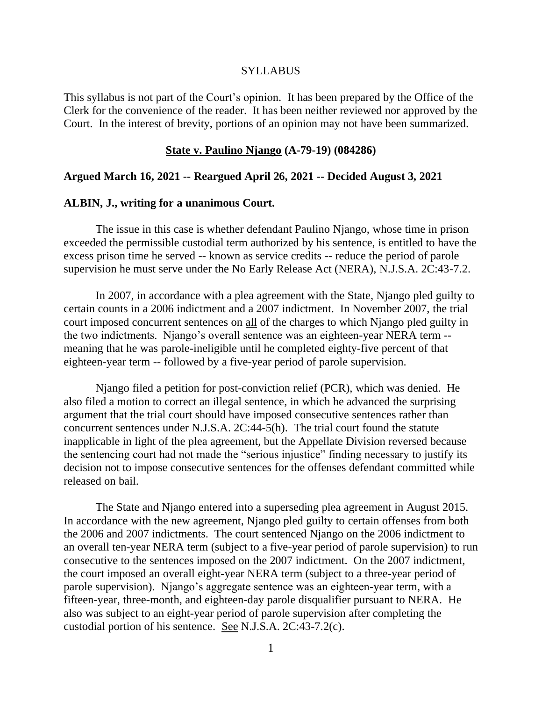#### **SYLLABUS**

This syllabus is not part of the Court's opinion. It has been prepared by the Office of the Clerk for the convenience of the reader. It has been neither reviewed nor approved by the Court. In the interest of brevity, portions of an opinion may not have been summarized.

#### **State v. Paulino Njango (A-79-19) (084286)**

#### **Argued March 16, 2021 -- Reargued April 26, 2021 -- Decided August 3, 2021**

#### **ALBIN, J., writing for a unanimous Court.**

The issue in this case is whether defendant Paulino Njango, whose time in prison exceeded the permissible custodial term authorized by his sentence, is entitled to have the excess prison time he served -- known as service credits -- reduce the period of parole supervision he must serve under the No Early Release Act (NERA), N.J.S.A. 2C:43-7.2.

In 2007, in accordance with a plea agreement with the State, Njango pled guilty to certain counts in a 2006 indictment and a 2007 indictment. In November 2007, the trial court imposed concurrent sentences on all of the charges to which Njango pled guilty in the two indictments. Njango's overall sentence was an eighteen-year NERA term - meaning that he was parole-ineligible until he completed eighty-five percent of that eighteen-year term -- followed by a five-year period of parole supervision.

Njango filed a petition for post-conviction relief (PCR), which was denied. He also filed a motion to correct an illegal sentence, in which he advanced the surprising argument that the trial court should have imposed consecutive sentences rather than concurrent sentences under N.J.S.A. 2C:44-5(h). The trial court found the statute inapplicable in light of the plea agreement, but the Appellate Division reversed because the sentencing court had not made the "serious injustice" finding necessary to justify its decision not to impose consecutive sentences for the offenses defendant committed while released on bail.

The State and Njango entered into a superseding plea agreement in August 2015. In accordance with the new agreement, Njango pled guilty to certain offenses from both the 2006 and 2007 indictments. The court sentenced Njango on the 2006 indictment to an overall ten-year NERA term (subject to a five-year period of parole supervision) to run consecutive to the sentences imposed on the 2007 indictment. On the 2007 indictment, the court imposed an overall eight-year NERA term (subject to a three-year period of parole supervision). Njango's aggregate sentence was an eighteen-year term, with a fifteen-year, three-month, and eighteen-day parole disqualifier pursuant to NERA. He also was subject to an eight-year period of parole supervision after completing the custodial portion of his sentence. See N.J.S.A. 2C:43-7.2(c).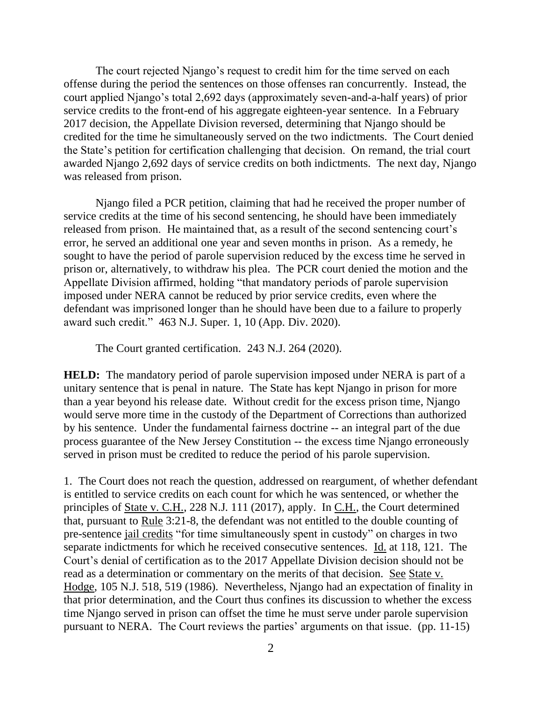The court rejected Njango's request to credit him for the time served on each offense during the period the sentences on those offenses ran concurrently. Instead, the court applied Njango's total 2,692 days (approximately seven-and-a-half years) of prior service credits to the front-end of his aggregate eighteen-year sentence. In a February 2017 decision, the Appellate Division reversed, determining that Njango should be credited for the time he simultaneously served on the two indictments. The Court denied the State's petition for certification challenging that decision. On remand, the trial court awarded Njango 2,692 days of service credits on both indictments. The next day, Njango was released from prison.

Njango filed a PCR petition, claiming that had he received the proper number of service credits at the time of his second sentencing, he should have been immediately released from prison. He maintained that, as a result of the second sentencing court's error, he served an additional one year and seven months in prison. As a remedy, he sought to have the period of parole supervision reduced by the excess time he served in prison or, alternatively, to withdraw his plea. The PCR court denied the motion and the Appellate Division affirmed, holding "that mandatory periods of parole supervision imposed under NERA cannot be reduced by prior service credits, even where the defendant was imprisoned longer than he should have been due to a failure to properly award such credit." 463 N.J. Super. 1, 10 (App. Div. 2020).

The Court granted certification. 243 N.J. 264 (2020).

**HELD:** The mandatory period of parole supervision imposed under NERA is part of a unitary sentence that is penal in nature. The State has kept Njango in prison for more than a year beyond his release date. Without credit for the excess prison time, Njango would serve more time in the custody of the Department of Corrections than authorized by his sentence. Under the fundamental fairness doctrine -- an integral part of the due process guarantee of the New Jersey Constitution -- the excess time Njango erroneously served in prison must be credited to reduce the period of his parole supervision.

1. The Court does not reach the question, addressed on reargument, of whether defendant is entitled to service credits on each count for which he was sentenced, or whether the principles of State v. C.H., 228 N.J. 111 (2017), apply. In C.H., the Court determined that, pursuant to Rule 3:21-8, the defendant was not entitled to the double counting of pre-sentence jail credits "for time simultaneously spent in custody" on charges in two separate indictments for which he received consecutive sentences. Id. at 118, 121. The Court's denial of certification as to the 2017 Appellate Division decision should not be read as a determination or commentary on the merits of that decision. See State v. Hodge, 105 N.J. 518, 519 (1986). Nevertheless, Njango had an expectation of finality in that prior determination, and the Court thus confines its discussion to whether the excess time Njango served in prison can offset the time he must serve under parole supervision pursuant to NERA. The Court reviews the parties' arguments on that issue. (pp. 11-15)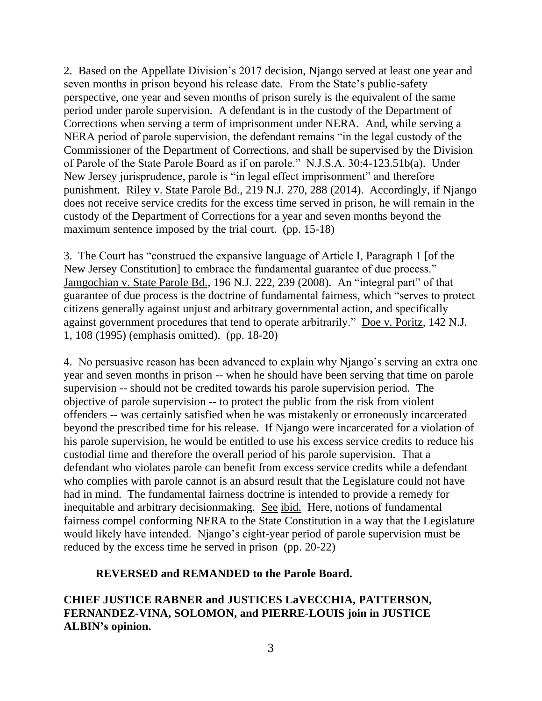2. Based on the Appellate Division's 2017 decision, Njango served at least one year and seven months in prison beyond his release date. From the State's public-safety perspective, one year and seven months of prison surely is the equivalent of the same period under parole supervision. A defendant is in the custody of the Department of Corrections when serving a term of imprisonment under NERA. And, while serving a NERA period of parole supervision, the defendant remains "in the legal custody of the Commissioner of the Department of Corrections, and shall be supervised by the Division of Parole of the State Parole Board as if on parole." N.J.S.A. 30:4-123.51b(a). Under New Jersey jurisprudence, parole is "in legal effect imprisonment" and therefore punishment. Riley v. State Parole Bd., 219 N.J. 270, 288 (2014). Accordingly, if Njango does not receive service credits for the excess time served in prison, he will remain in the custody of the Department of Corrections for a year and seven months beyond the maximum sentence imposed by the trial court. (pp. 15-18)

3. The Court has "construed the expansive language of Article I, Paragraph 1 [of the New Jersey Constitution] to embrace the fundamental guarantee of due process." Jamgochian v. State Parole Bd., 196 N.J. 222, 239 (2008). An "integral part" of that guarantee of due process is the doctrine of fundamental fairness, which "serves to protect citizens generally against unjust and arbitrary governmental action, and specifically against government procedures that tend to operate arbitrarily." Doe v. Poritz, 142 N.J. 1, 108 (1995) (emphasis omitted). (pp. 18-20)

4. No persuasive reason has been advanced to explain why Njango's serving an extra one year and seven months in prison -- when he should have been serving that time on parole supervision -- should not be credited towards his parole supervision period. The objective of parole supervision -- to protect the public from the risk from violent offenders -- was certainly satisfied when he was mistakenly or erroneously incarcerated beyond the prescribed time for his release. If Njango were incarcerated for a violation of his parole supervision, he would be entitled to use his excess service credits to reduce his custodial time and therefore the overall period of his parole supervision. That a defendant who violates parole can benefit from excess service credits while a defendant who complies with parole cannot is an absurd result that the Legislature could not have had in mind. The fundamental fairness doctrine is intended to provide a remedy for inequitable and arbitrary decisionmaking. See ibid. Here, notions of fundamental fairness compel conforming NERA to the State Constitution in a way that the Legislature would likely have intended. Njango's eight-year period of parole supervision must be reduced by the excess time he served in prison (pp. 20-22)

# **REVERSED and REMANDED to the Parole Board.**

**CHIEF JUSTICE RABNER and JUSTICES LaVECCHIA, PATTERSON, FERNANDEZ-VINA, SOLOMON, and PIERRE-LOUIS join in JUSTICE ALBIN's opinion.**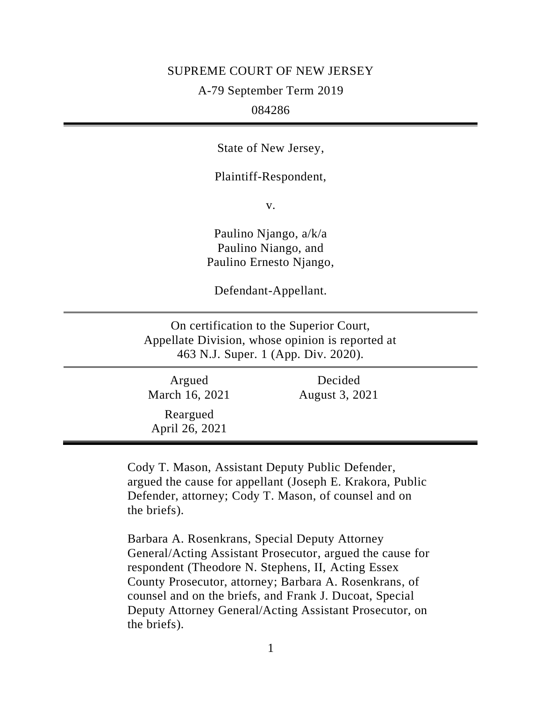#### SUPREME COURT OF NEW JERSEY

A-79 September Term 2019

## 084286

State of New Jersey,

Plaintiff-Respondent,

v.

Paulino Njango, a/k/a Paulino Niango, and Paulino Ernesto Njango,

Defendant-Appellant.

On certification to the Superior Court, Appellate Division, whose opinion is reported at 463 N.J. Super. 1 (App. Div. 2020).

| Argued<br>March 16, 2021   | Decided<br>August 3, 2021 |  |
|----------------------------|---------------------------|--|
| Reargued<br>April 26, 2021 |                           |  |

Cody T. Mason, Assistant Deputy Public Defender, argued the cause for appellant (Joseph E. Krakora, Public Defender, attorney; Cody T. Mason, of counsel and on the briefs).

Barbara A. Rosenkrans, Special Deputy Attorney General/Acting Assistant Prosecutor, argued the cause for respondent (Theodore N. Stephens, II, Acting Essex County Prosecutor, attorney; Barbara A. Rosenkrans, of counsel and on the briefs, and Frank J. Ducoat, Special Deputy Attorney General/Acting Assistant Prosecutor, on the briefs).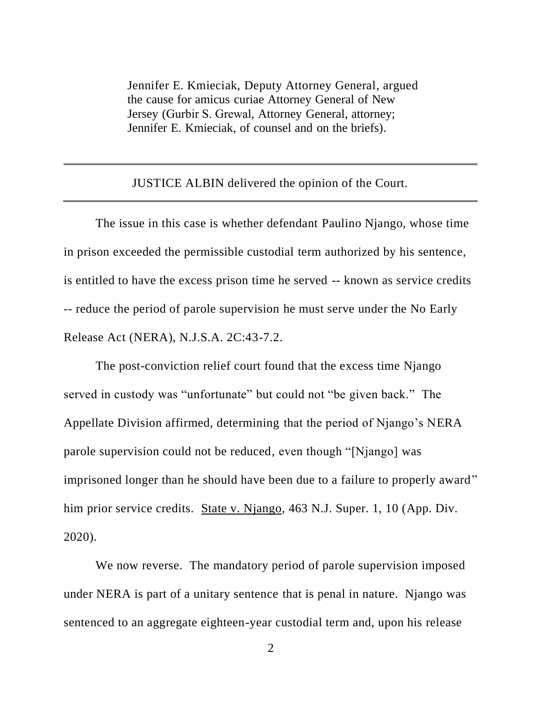Jennifer E. Kmieciak, Deputy Attorney General, argued the cause for amicus curiae Attorney General of New Jersey (Gurbir S. Grewal, Attorney General, attorney; Jennifer E. Kmieciak, of counsel and on the briefs).

JUSTICE ALBIN delivered the opinion of the Court.

The issue in this case is whether defendant Paulino Njango, whose time in prison exceeded the permissible custodial term authorized by his sentence, is entitled to have the excess prison time he served -- known as service credits -- reduce the period of parole supervision he must serve under the No Early Release Act (NERA), N.J.S.A. 2C:43-7.2.

The post-conviction relief court found that the excess time Njango served in custody was "unfortunate" but could not "be given back." The Appellate Division affirmed, determining that the period of Njango's NERA parole supervision could not be reduced, even though "[Njango] was imprisoned longer than he should have been due to a failure to properly award" him prior service credits. State v. Njango, 463 N.J. Super. 1, 10 (App. Div. 2020).

We now reverse. The mandatory period of parole supervision imposed under NERA is part of a unitary sentence that is penal in nature. Njango was sentenced to an aggregate eighteen-year custodial term and, upon his release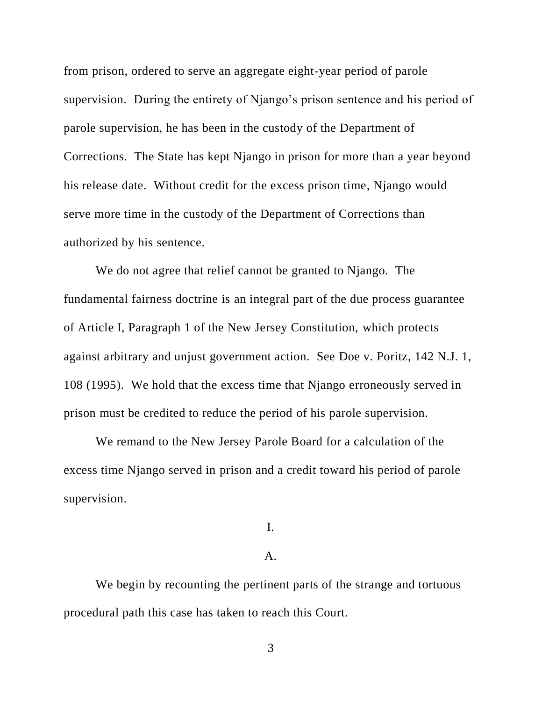from prison, ordered to serve an aggregate eight-year period of parole supervision. During the entirety of Njango's prison sentence and his period of parole supervision, he has been in the custody of the Department of Corrections. The State has kept Njango in prison for more than a year beyond his release date. Without credit for the excess prison time, Njango would serve more time in the custody of the Department of Corrections than authorized by his sentence.

We do not agree that relief cannot be granted to Njango. The fundamental fairness doctrine is an integral part of the due process guarantee of Article I, Paragraph 1 of the New Jersey Constitution, which protects against arbitrary and unjust government action. See Doe v. Poritz, 142 N.J. 1, 108 (1995). We hold that the excess time that Njango erroneously served in prison must be credited to reduce the period of his parole supervision.

We remand to the New Jersey Parole Board for a calculation of the excess time Njango served in prison and a credit toward his period of parole supervision.

# I.

## A.

We begin by recounting the pertinent parts of the strange and tortuous procedural path this case has taken to reach this Court.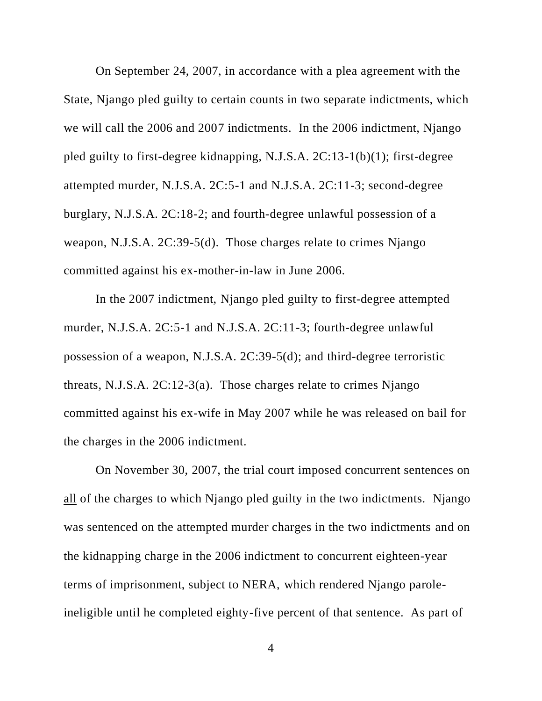On September 24, 2007, in accordance with a plea agreement with the State, Njango pled guilty to certain counts in two separate indictments, which we will call the 2006 and 2007 indictments. In the 2006 indictment, Njango pled guilty to first-degree kidnapping, N.J.S.A. 2C:13-1(b)(1); first-degree attempted murder, N.J.S.A. 2C:5-1 and N.J.S.A. 2C:11-3; second-degree burglary, N.J.S.A. 2C:18-2; and fourth-degree unlawful possession of a weapon, N.J.S.A. 2C:39-5(d). Those charges relate to crimes Njango committed against his ex-mother-in-law in June 2006.

In the 2007 indictment, Njango pled guilty to first-degree attempted murder, N.J.S.A. 2C:5-1 and N.J.S.A. 2C:11-3; fourth-degree unlawful possession of a weapon, N.J.S.A. 2C:39-5(d); and third-degree terroristic threats, N.J.S.A. 2C:12-3(a). Those charges relate to crimes Njango committed against his ex-wife in May 2007 while he was released on bail for the charges in the 2006 indictment.

On November 30, 2007, the trial court imposed concurrent sentences on all of the charges to which Njango pled guilty in the two indictments. Njango was sentenced on the attempted murder charges in the two indictments and on the kidnapping charge in the 2006 indictment to concurrent eighteen-year terms of imprisonment, subject to NERA, which rendered Njango paroleineligible until he completed eighty-five percent of that sentence. As part of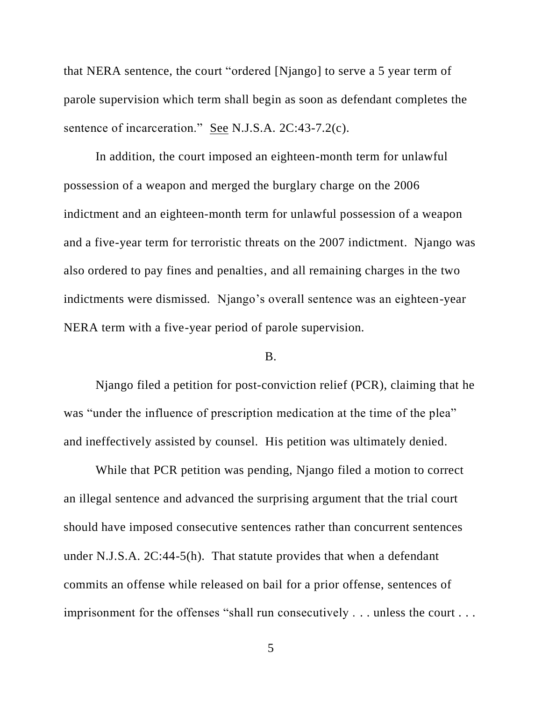that NERA sentence, the court "ordered [Njango] to serve a 5 year term of parole supervision which term shall begin as soon as defendant completes the sentence of incarceration." See N.J.S.A. 2C:43-7.2(c).

In addition, the court imposed an eighteen-month term for unlawful possession of a weapon and merged the burglary charge on the 2006 indictment and an eighteen-month term for unlawful possession of a weapon and a five-year term for terroristic threats on the 2007 indictment. Njango was also ordered to pay fines and penalties, and all remaining charges in the two indictments were dismissed. Njango's overall sentence was an eighteen-year NERA term with a five-year period of parole supervision.

## B.

Njango filed a petition for post-conviction relief (PCR), claiming that he was "under the influence of prescription medication at the time of the plea" and ineffectively assisted by counsel. His petition was ultimately denied.

While that PCR petition was pending, Njango filed a motion to correct an illegal sentence and advanced the surprising argument that the trial court should have imposed consecutive sentences rather than concurrent sentences under N.J.S.A. 2C:44-5(h). That statute provides that when a defendant commits an offense while released on bail for a prior offense, sentences of imprisonment for the offenses "shall run consecutively . . . unless the court . . .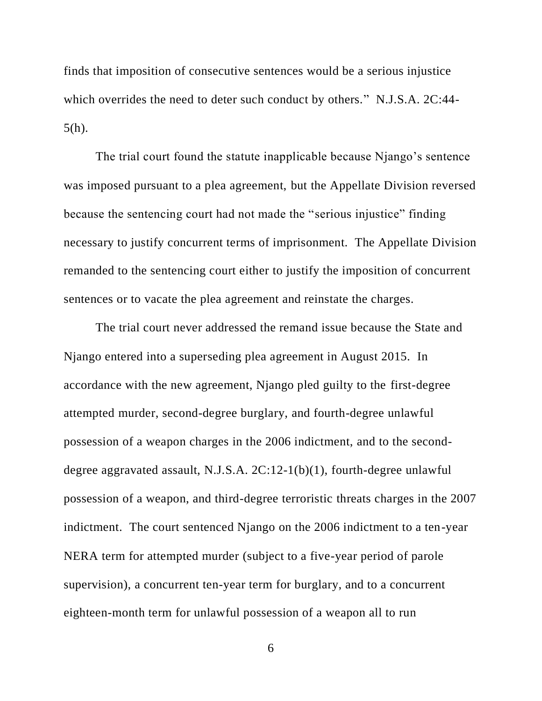finds that imposition of consecutive sentences would be a serious injustice which overrides the need to deter such conduct by others." N.J.S.A. 2C:44-5(h).

The trial court found the statute inapplicable because Njango's sentence was imposed pursuant to a plea agreement, but the Appellate Division reversed because the sentencing court had not made the "serious injustice" finding necessary to justify concurrent terms of imprisonment. The Appellate Division remanded to the sentencing court either to justify the imposition of concurrent sentences or to vacate the plea agreement and reinstate the charges.

The trial court never addressed the remand issue because the State and Njango entered into a superseding plea agreement in August 2015. In accordance with the new agreement, Njango pled guilty to the first-degree attempted murder, second-degree burglary, and fourth-degree unlawful possession of a weapon charges in the 2006 indictment, and to the seconddegree aggravated assault, N.J.S.A. 2C:12-1(b)(1), fourth-degree unlawful possession of a weapon, and third-degree terroristic threats charges in the 2007 indictment. The court sentenced Njango on the 2006 indictment to a ten-year NERA term for attempted murder (subject to a five-year period of parole supervision), a concurrent ten-year term for burglary, and to a concurrent eighteen-month term for unlawful possession of a weapon all to run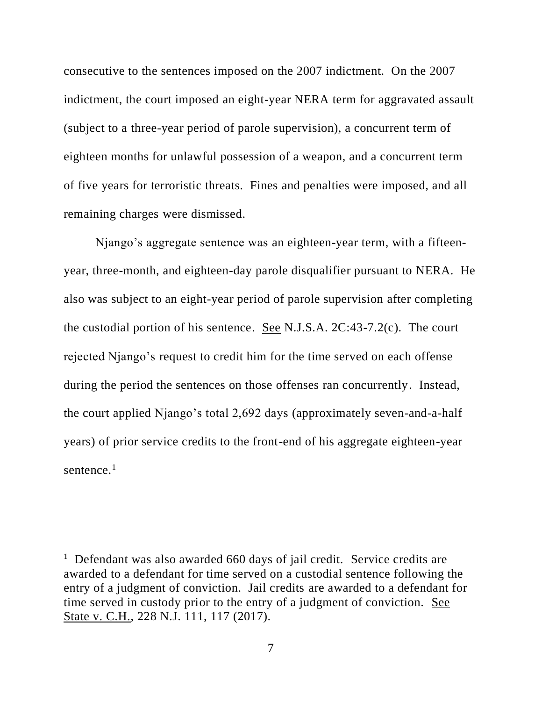consecutive to the sentences imposed on the 2007 indictment. On the 2007 indictment, the court imposed an eight-year NERA term for aggravated assault (subject to a three-year period of parole supervision), a concurrent term of eighteen months for unlawful possession of a weapon, and a concurrent term of five years for terroristic threats. Fines and penalties were imposed, and all remaining charges were dismissed.

Njango's aggregate sentence was an eighteen-year term, with a fifteenyear, three-month, and eighteen-day parole disqualifier pursuant to NERA. He also was subject to an eight-year period of parole supervision after completing the custodial portion of his sentence. See N.J.S.A.  $2C:43-7.2(c)$ . The court rejected Njango's request to credit him for the time served on each offense during the period the sentences on those offenses ran concurrently. Instead, the court applied Njango's total 2,692 days (approximately seven-and-a-half years) of prior service credits to the front-end of his aggregate eighteen-year sentence. $1$ 

<sup>&</sup>lt;sup>1</sup> Defendant was also awarded 660 days of jail credit. Service credits are awarded to a defendant for time served on a custodial sentence following the entry of a judgment of conviction. Jail credits are awarded to a defendant for time served in custody prior to the entry of a judgment of conviction. See State v. C.H., 228 N.J. 111, 117 (2017).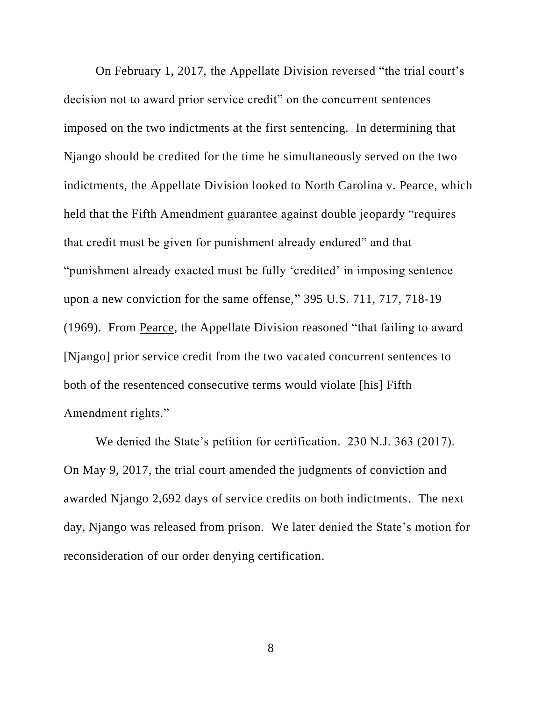On February 1, 2017, the Appellate Division reversed "the trial court's decision not to award prior service credit" on the concurrent sentences imposed on the two indictments at the first sentencing. In determining that Njango should be credited for the time he simultaneously served on the two indictments, the Appellate Division looked to North Carolina v. Pearce, which held that the Fifth Amendment guarantee against double jeopardy "requires that credit must be given for punishment already endured" and that "punishment already exacted must be fully 'credited' in imposing sentence upon a new conviction for the same offense," 395 U.S. 711, 717, 718-19 (1969). From Pearce, the Appellate Division reasoned "that failing to award [Njango] prior service credit from the two vacated concurrent sentences to both of the resentenced consecutive terms would violate [his] Fifth Amendment rights."

We denied the State's petition for certification. 230 N.J. 363 (2017). On May 9, 2017, the trial court amended the judgments of conviction and awarded Njango 2,692 days of service credits on both indictments. The next day, Njango was released from prison. We later denied the State's motion for reconsideration of our order denying certification.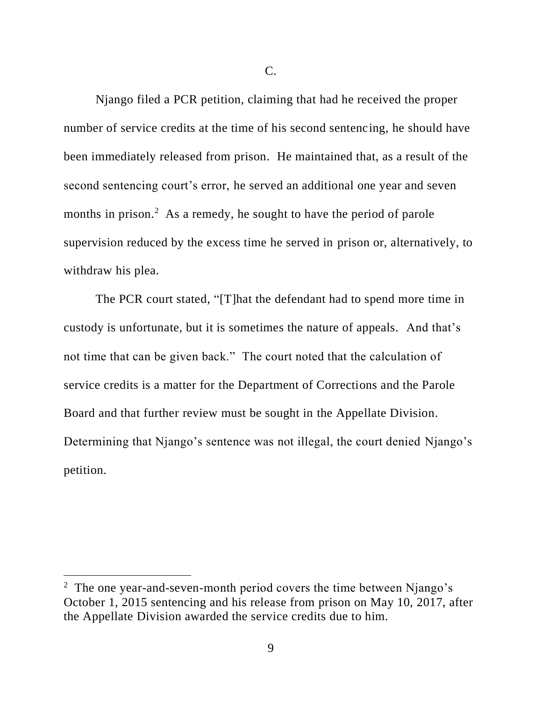C.

Njango filed a PCR petition, claiming that had he received the proper number of service credits at the time of his second sentencing, he should have been immediately released from prison. He maintained that, as a result of the second sentencing court's error, he served an additional one year and seven months in prison.<sup>2</sup> As a remedy, he sought to have the period of parole supervision reduced by the excess time he served in prison or, alternatively, to withdraw his plea.

The PCR court stated, "[T]hat the defendant had to spend more time in custody is unfortunate, but it is sometimes the nature of appeals. And that's not time that can be given back." The court noted that the calculation of service credits is a matter for the Department of Corrections and the Parole Board and that further review must be sought in the Appellate Division. Determining that Njango's sentence was not illegal, the court denied Njango's petition.

<sup>&</sup>lt;sup>2</sup> The one year-and-seven-month period covers the time between Njango's October 1, 2015 sentencing and his release from prison on May 10, 2017, after the Appellate Division awarded the service credits due to him.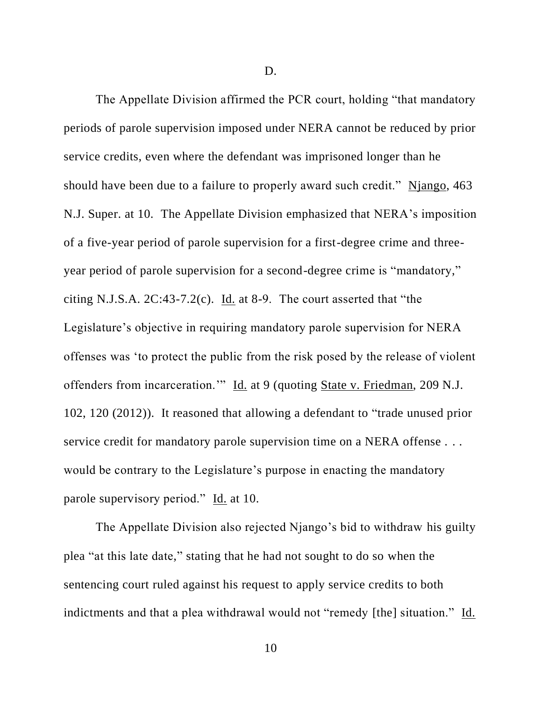D.

The Appellate Division affirmed the PCR court, holding "that mandatory periods of parole supervision imposed under NERA cannot be reduced by prior service credits, even where the defendant was imprisoned longer than he should have been due to a failure to properly award such credit." Njango, 463 N.J. Super. at 10. The Appellate Division emphasized that NERA's imposition of a five-year period of parole supervision for a first-degree crime and threeyear period of parole supervision for a second-degree crime is "mandatory," citing N.J.S.A.  $2C:43-7.2(c)$ . Id. at 8-9. The court asserted that "the Legislature's objective in requiring mandatory parole supervision for NERA offenses was 'to protect the public from the risk posed by the release of violent offenders from incarceration.'" Id. at 9 (quoting State v. Friedman, 209 N.J. 102, 120 (2012)). It reasoned that allowing a defendant to "trade unused prior service credit for mandatory parole supervision time on a NERA offense . . . would be contrary to the Legislature's purpose in enacting the mandatory parole supervisory period." Id. at 10.

The Appellate Division also rejected Njango's bid to withdraw his guilty plea "at this late date," stating that he had not sought to do so when the sentencing court ruled against his request to apply service credits to both indictments and that a plea withdrawal would not "remedy [the] situation." Id.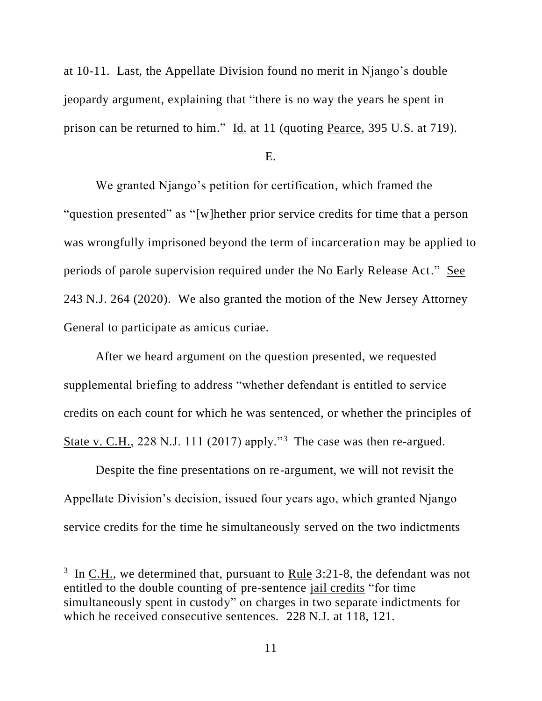at 10-11. Last, the Appellate Division found no merit in Njango's double jeopardy argument, explaining that "there is no way the years he spent in prison can be returned to him." Id. at 11 (quoting Pearce, 395 U.S. at 719).

#### E.

We granted Njango's petition for certification, which framed the "question presented" as "[w]hether prior service credits for time that a person was wrongfully imprisoned beyond the term of incarceration may be applied to periods of parole supervision required under the No Early Release Act." See 243 N.J. 264 (2020). We also granted the motion of the New Jersey Attorney General to participate as amicus curiae.

After we heard argument on the question presented, we requested supplemental briefing to address "whether defendant is entitled to service credits on each count for which he was sentenced, or whether the principles of State v. C.H., 228 N.J. 111 (2017) apply."<sup>3</sup> The case was then re-argued.

Despite the fine presentations on re-argument, we will not revisit the Appellate Division's decision, issued four years ago, which granted Njango service credits for the time he simultaneously served on the two indictments

<sup>&</sup>lt;sup>3</sup> In <u>C.H.</u>, we determined that, pursuant to Rule 3:21-8, the defendant was not entitled to the double counting of pre-sentence jail credits "for time simultaneously spent in custody" on charges in two separate indictments for which he received consecutive sentences. 228 N.J. at 118, 121.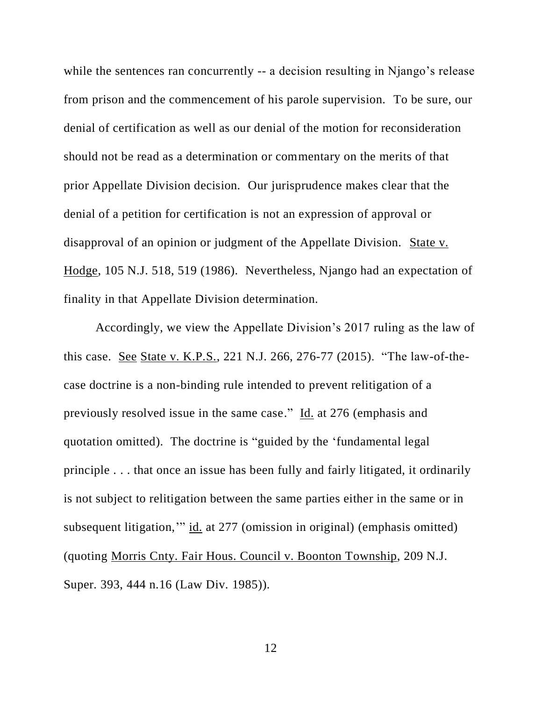while the sentences ran concurrently -- a decision resulting in Njango's release from prison and the commencement of his parole supervision. To be sure, our denial of certification as well as our denial of the motion for reconsideration should not be read as a determination or commentary on the merits of that prior Appellate Division decision. Our jurisprudence makes clear that the denial of a petition for certification is not an expression of approval or disapproval of an opinion or judgment of the Appellate Division. State v. Hodge, 105 N.J. 518, 519 (1986). Nevertheless, Njango had an expectation of finality in that Appellate Division determination.

Accordingly, we view the Appellate Division's 2017 ruling as the law of this case. See State v. K.P.S., 221 N.J. 266, 276-77 (2015). "The law-of-thecase doctrine is a non-binding rule intended to prevent relitigation of a previously resolved issue in the same case." Id. at 276 (emphasis and quotation omitted). The doctrine is "guided by the 'fundamental legal principle . . . that once an issue has been fully and fairly litigated, it ordinarily is not subject to relitigation between the same parties either in the same or in subsequent litigation,'" id. at 277 (omission in original) (emphasis omitted) (quoting Morris Cnty. Fair Hous. Council v. Boonton Township, 209 N.J. Super. 393, 444 n.16 (Law Div. 1985)).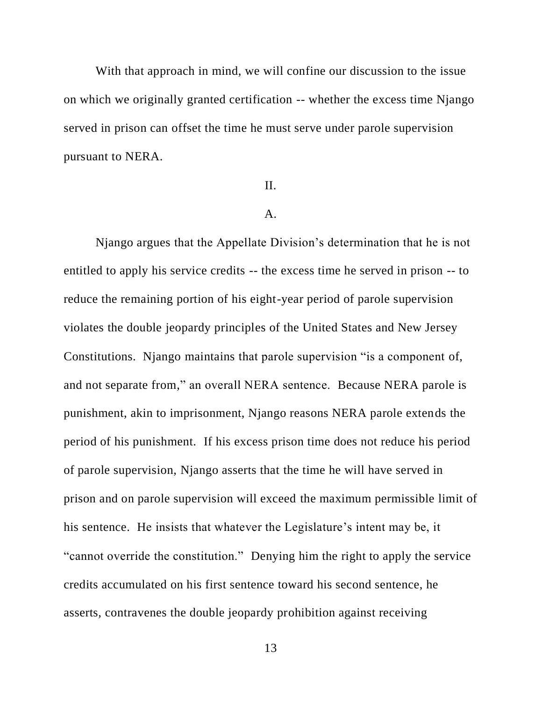With that approach in mind, we will confine our discussion to the issue on which we originally granted certification -- whether the excess time Njango served in prison can offset the time he must serve under parole supervision pursuant to NERA.

## II.

#### A.

Njango argues that the Appellate Division's determination that he is not entitled to apply his service credits -- the excess time he served in prison -- to reduce the remaining portion of his eight-year period of parole supervision violates the double jeopardy principles of the United States and New Jersey Constitutions. Njango maintains that parole supervision "is a component of, and not separate from," an overall NERA sentence. Because NERA parole is punishment, akin to imprisonment, Njango reasons NERA parole extends the period of his punishment. If his excess prison time does not reduce his period of parole supervision, Njango asserts that the time he will have served in prison and on parole supervision will exceed the maximum permissible limit of his sentence. He insists that whatever the Legislature's intent may be, it "cannot override the constitution." Denying him the right to apply the service credits accumulated on his first sentence toward his second sentence, he asserts, contravenes the double jeopardy prohibition against receiving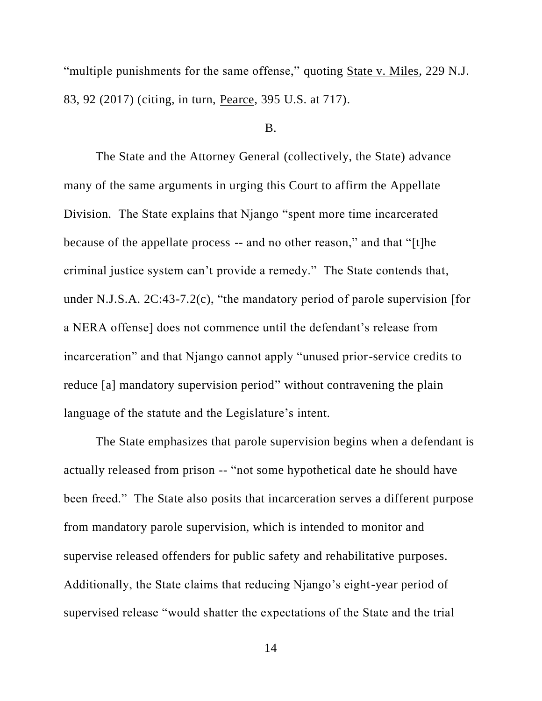"multiple punishments for the same offense," quoting State v. Miles, 229 N.J. 83, 92 (2017) (citing, in turn, Pearce, 395 U.S. at 717).

## B.

The State and the Attorney General (collectively, the State) advance many of the same arguments in urging this Court to affirm the Appellate Division. The State explains that Njango "spent more time incarcerated because of the appellate process -- and no other reason," and that "[t]he criminal justice system can't provide a remedy." The State contends that, under N.J.S.A. 2C:43-7.2(c), "the mandatory period of parole supervision [for a NERA offense] does not commence until the defendant's release from incarceration" and that Njango cannot apply "unused prior-service credits to reduce [a] mandatory supervision period" without contravening the plain language of the statute and the Legislature's intent.

The State emphasizes that parole supervision begins when a defendant is actually released from prison -- "not some hypothetical date he should have been freed." The State also posits that incarceration serves a different purpose from mandatory parole supervision, which is intended to monitor and supervise released offenders for public safety and rehabilitative purposes. Additionally, the State claims that reducing Njango's eight-year period of supervised release "would shatter the expectations of the State and the trial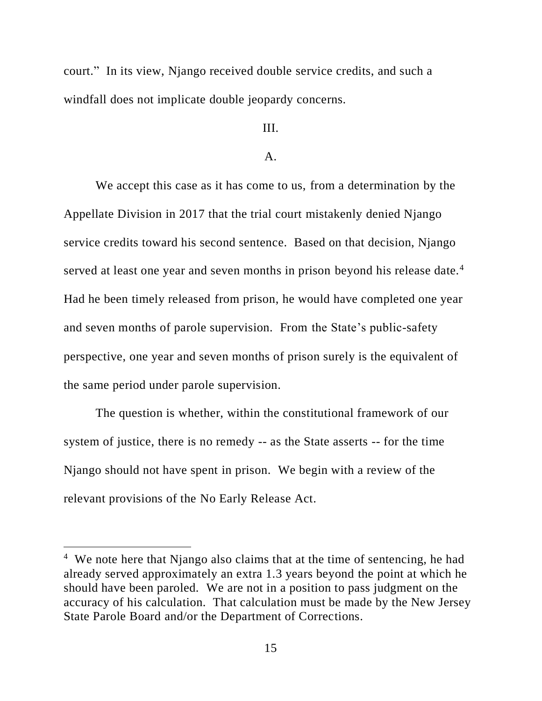court." In its view, Njango received double service credits, and such a windfall does not implicate double jeopardy concerns.

# III.

## A.

We accept this case as it has come to us, from a determination by the Appellate Division in 2017 that the trial court mistakenly denied Njango service credits toward his second sentence. Based on that decision, Njango served at least one year and seven months in prison beyond his release date.<sup>4</sup> Had he been timely released from prison, he would have completed one year and seven months of parole supervision. From the State's public-safety perspective, one year and seven months of prison surely is the equivalent of the same period under parole supervision.

The question is whether, within the constitutional framework of our system of justice, there is no remedy -- as the State asserts -- for the time Njango should not have spent in prison. We begin with a review of the relevant provisions of the No Early Release Act.

<sup>&</sup>lt;sup>4</sup> We note here that Njango also claims that at the time of sentencing, he had already served approximately an extra 1.3 years beyond the point at which he should have been paroled. We are not in a position to pass judgment on the accuracy of his calculation. That calculation must be made by the New Jersey State Parole Board and/or the Department of Corrections.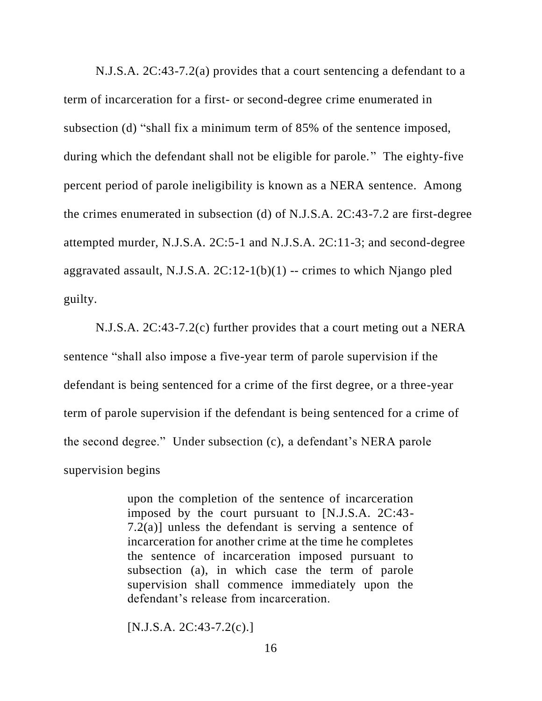N.J.S.A. 2C:43-7.2(a) provides that a court sentencing a defendant to a term of incarceration for a first- or second-degree crime enumerated in subsection (d) "shall fix a minimum term of 85% of the sentence imposed, during which the defendant shall not be eligible for parole." The eighty-five percent period of parole ineligibility is known as a NERA sentence. Among the crimes enumerated in subsection (d) of N.J.S.A. 2C:43-7.2 are first-degree attempted murder, N.J.S.A. 2C:5-1 and N.J.S.A. 2C:11-3; and second-degree aggravated assault, N.J.S.A.  $2C:12-1(b)(1)$  -- crimes to which Njango pled guilty.

N.J.S.A. 2C:43-7.2(c) further provides that a court meting out a NERA sentence "shall also impose a five-year term of parole supervision if the defendant is being sentenced for a crime of the first degree, or a three-year term of parole supervision if the defendant is being sentenced for a crime of the second degree." Under subsection (c), a defendant's NERA parole supervision begins

> upon the completion of the sentence of incarceration imposed by the court pursuant to [N.J.S.A. 2C:43- 7.2(a)] unless the defendant is serving a sentence of incarceration for another crime at the time he completes the sentence of incarceration imposed pursuant to subsection (a), in which case the term of parole supervision shall commence immediately upon the defendant's release from incarceration.

 $[N.J.S.A. 2C:43-7.2(c).]$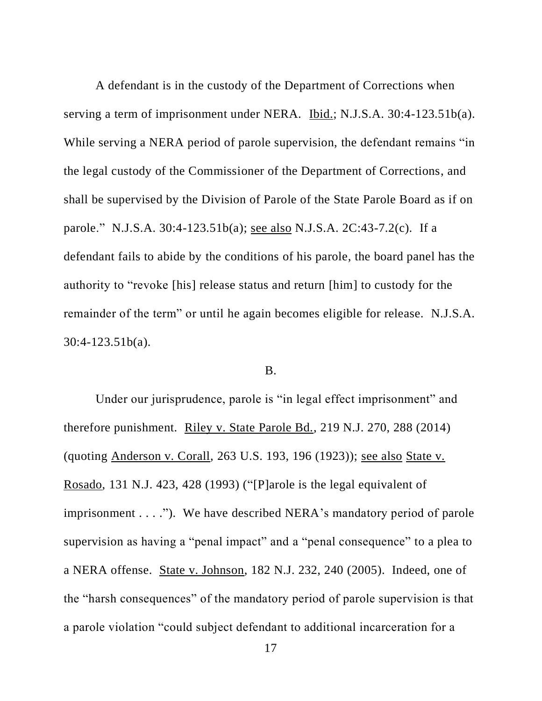A defendant is in the custody of the Department of Corrections when serving a term of imprisonment under NERA. Ibid.; N.J.S.A. 30:4-123.51b(a). While serving a NERA period of parole supervision, the defendant remains "in the legal custody of the Commissioner of the Department of Corrections, and shall be supervised by the Division of Parole of the State Parole Board as if on parole." N.J.S.A. 30:4-123.51b(a); see also N.J.S.A. 2C:43-7.2(c). If a defendant fails to abide by the conditions of his parole, the board panel has the authority to "revoke [his] release status and return [him] to custody for the remainder of the term" or until he again becomes eligible for release. N.J.S.A. 30:4-123.51b(a).

## B.

Under our jurisprudence, parole is "in legal effect imprisonment" and therefore punishment. Riley v. State Parole Bd., 219 N.J. 270, 288 (2014) (quoting Anderson v. Corall, 263 U.S. 193, 196 (1923)); see also State v. Rosado, 131 N.J. 423, 428 (1993) ("[P]arole is the legal equivalent of imprisonment . . . ."). We have described NERA's mandatory period of parole supervision as having a "penal impact" and a "penal consequence" to a plea to a NERA offense. State v. Johnson, 182 N.J. 232, 240 (2005). Indeed, one of the "harsh consequences" of the mandatory period of parole supervision is that a parole violation "could subject defendant to additional incarceration for a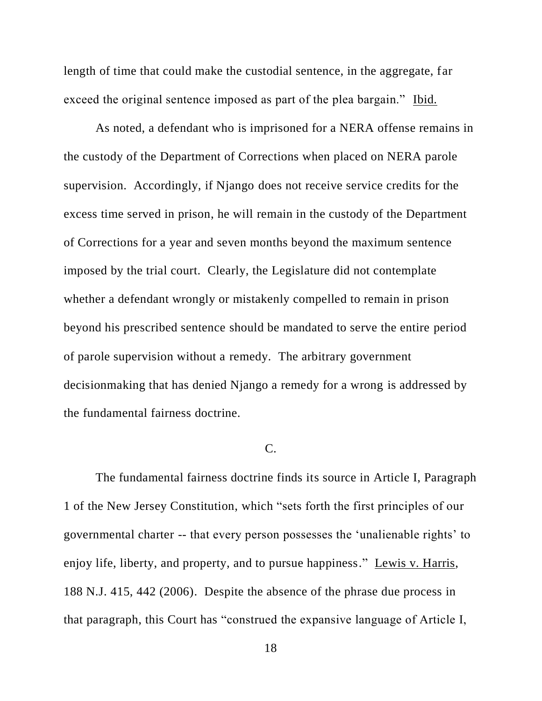length of time that could make the custodial sentence, in the aggregate, far exceed the original sentence imposed as part of the plea bargain." Ibid.

As noted, a defendant who is imprisoned for a NERA offense remains in the custody of the Department of Corrections when placed on NERA parole supervision. Accordingly, if Njango does not receive service credits for the excess time served in prison, he will remain in the custody of the Department of Corrections for a year and seven months beyond the maximum sentence imposed by the trial court. Clearly, the Legislature did not contemplate whether a defendant wrongly or mistakenly compelled to remain in prison beyond his prescribed sentence should be mandated to serve the entire period of parole supervision without a remedy. The arbitrary government decisionmaking that has denied Njango a remedy for a wrong is addressed by the fundamental fairness doctrine.

## C.

The fundamental fairness doctrine finds its source in Article I, Paragraph 1 of the New Jersey Constitution, which "sets forth the first principles of our governmental charter -- that every person possesses the 'unalienable rights' to enjoy life, liberty, and property, and to pursue happiness." Lewis v. Harris, 188 N.J. 415, 442 (2006). Despite the absence of the phrase due process in that paragraph, this Court has "construed the expansive language of Article I,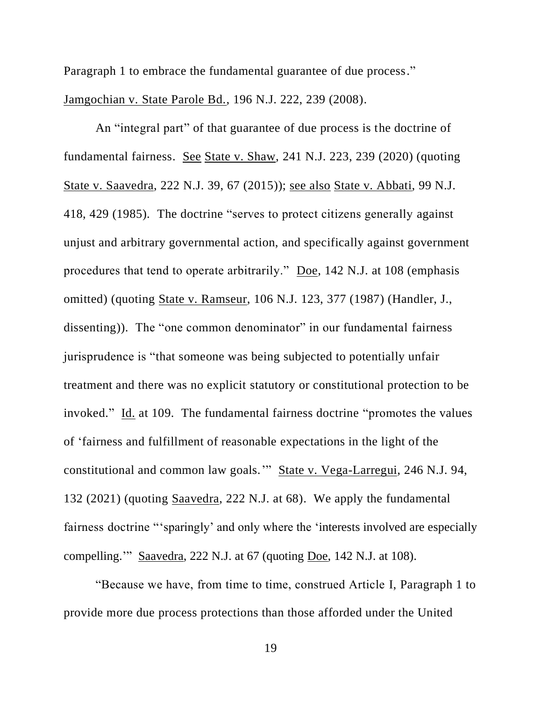Paragraph 1 to embrace the fundamental guarantee of due process."

Jamgochian v. State Parole Bd., 196 N.J. 222, 239 (2008).

An "integral part" of that guarantee of due process is the doctrine of fundamental fairness. See State v. Shaw, 241 N.J. 223, 239 (2020) (quoting State v. Saavedra, 222 N.J. 39, 67 (2015)); see also State v. Abbati, 99 N.J. 418, 429 (1985). The doctrine "serves to protect citizens generally against unjust and arbitrary governmental action, and specifically against government procedures that tend to operate arbitrarily." Doe, 142 N.J. at 108 (emphasis omitted) (quoting State v. Ramseur, 106 N.J. 123, 377 (1987) (Handler, J., dissenting)). The "one common denominator" in our fundamental fairness jurisprudence is "that someone was being subjected to potentially unfair treatment and there was no explicit statutory or constitutional protection to be invoked." Id. at 109. The fundamental fairness doctrine "promotes the values of 'fairness and fulfillment of reasonable expectations in the light of the constitutional and common law goals.'" State v. Vega-Larregui, 246 N.J. 94, 132 (2021) (quoting Saavedra, 222 N.J. at 68). We apply the fundamental fairness doctrine "'sparingly' and only where the 'interests involved are especially compelling.'" Saavedra, 222 N.J. at 67 (quoting Doe, 142 N.J. at 108).

"Because we have, from time to time, construed Article I, Paragraph 1 to provide more due process protections than those afforded under the United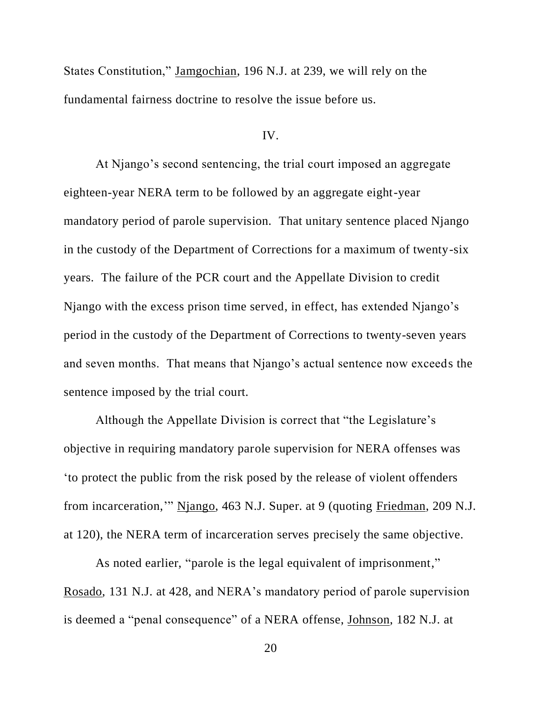States Constitution," Jamgochian, 196 N.J. at 239, we will rely on the fundamental fairness doctrine to resolve the issue before us.

## IV.

At Njango's second sentencing, the trial court imposed an aggregate eighteen-year NERA term to be followed by an aggregate eight-year mandatory period of parole supervision. That unitary sentence placed Njango in the custody of the Department of Corrections for a maximum of twenty-six years. The failure of the PCR court and the Appellate Division to credit Njango with the excess prison time served, in effect, has extended Njango's period in the custody of the Department of Corrections to twenty-seven years and seven months. That means that Njango's actual sentence now exceeds the sentence imposed by the trial court.

Although the Appellate Division is correct that "the Legislature's objective in requiring mandatory parole supervision for NERA offenses was 'to protect the public from the risk posed by the release of violent offenders from incarceration,'" Njango, 463 N.J. Super. at 9 (quoting Friedman, 209 N.J. at 120), the NERA term of incarceration serves precisely the same objective.

As noted earlier, "parole is the legal equivalent of imprisonment," Rosado, 131 N.J. at 428, and NERA's mandatory period of parole supervision is deemed a "penal consequence" of a NERA offense, Johnson, 182 N.J. at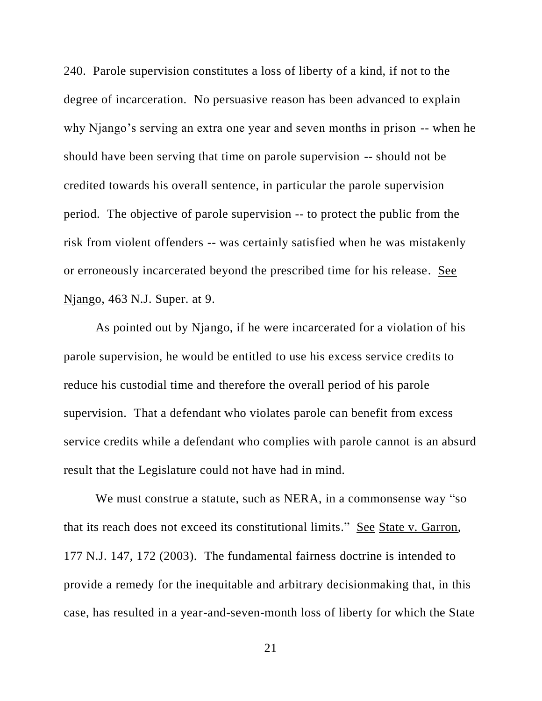240. Parole supervision constitutes a loss of liberty of a kind, if not to the degree of incarceration. No persuasive reason has been advanced to explain why Njango's serving an extra one year and seven months in prison -- when he should have been serving that time on parole supervision -- should not be credited towards his overall sentence, in particular the parole supervision period. The objective of parole supervision -- to protect the public from the risk from violent offenders -- was certainly satisfied when he was mistakenly or erroneously incarcerated beyond the prescribed time for his release. See Njango, 463 N.J. Super. at 9.

As pointed out by Njango, if he were incarcerated for a violation of his parole supervision, he would be entitled to use his excess service credits to reduce his custodial time and therefore the overall period of his parole supervision. That a defendant who violates parole can benefit from excess service credits while a defendant who complies with parole cannot is an absurd result that the Legislature could not have had in mind.

We must construe a statute, such as NERA, in a commonsense way "so that its reach does not exceed its constitutional limits." See State v. Garron, 177 N.J. 147, 172 (2003). The fundamental fairness doctrine is intended to provide a remedy for the inequitable and arbitrary decisionmaking that, in this case, has resulted in a year-and-seven-month loss of liberty for which the State